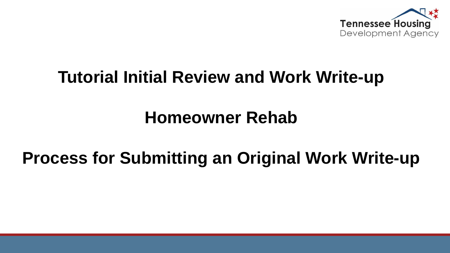

## **Tutorial Initial Review and Work Write-up**

## **Homeowner Rehab**

# **Process for Submitting an Original Work Write-up**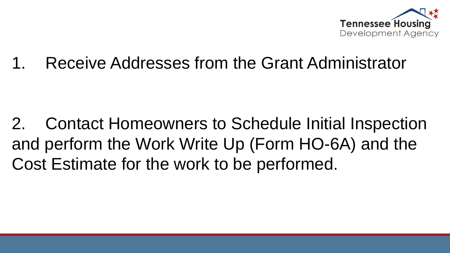

Receive Addresses from the Grant Administrator

2. Contact Homeowners to Schedule Initial Inspection and perform the Work Write Up (Form HO-6A) and the Cost Estimate for the work to be performed.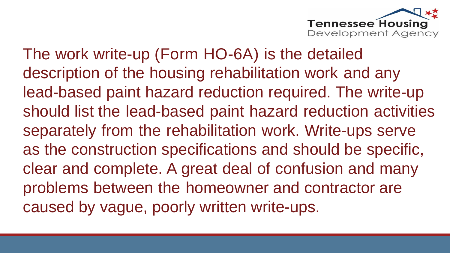

The work write-up (Form HO-6A) is the detailed description of the housing rehabilitation work and any lead-based paint hazard reduction required. The write-up should list the lead-based paint hazard reduction activities separately from the rehabilitation work. Write-ups serve as the construction specifications and should be specific, clear and complete. A great deal of confusion and many problems between the homeowner and contractor are caused by vague, poorly written write-ups.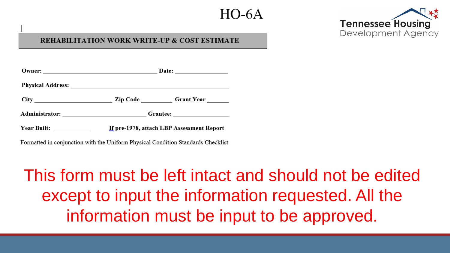### $H()$ -6A



#### **WORK WRITE-UP & COST ESTIMATE**

| Owner: 2008 2009 2012 2022 2023 2024 2022 2022 2023 2024 2022 2023 2024 2022 2023 2024 2025 2026 2027 2028 20 |                                           |  |  |
|---------------------------------------------------------------------------------------------------------------|-------------------------------------------|--|--|
|                                                                                                               |                                           |  |  |
|                                                                                                               |                                           |  |  |
|                                                                                                               |                                           |  |  |
| <b>Year Built:</b>                                                                                            | If pre-1978, attach LBP Assessment Report |  |  |

Formatted in conjunction with the Uniform Physical Condition Standards Checklist

# This form must be left intact and should not be edited except to input the information requested. All the information must be input to be approved.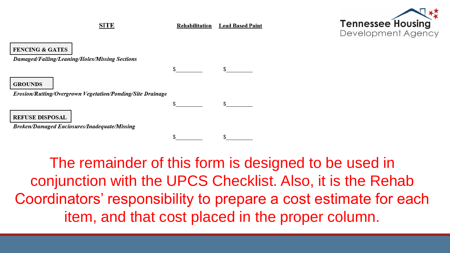**SITE** 

**Rehabilitation** Lead Based Paint



**FENCING & GATES** 

Damaged/Falling/Leaning/Holes/Missing Sections

**GROUNDS** 

Erosion/Rutting/Overgrown Vegetation/Ponding/Site Drainage

**REFUSE DISPOSAL** 

**Broken/Damaged Enclosures/Inadequate/Missing** 

The remainder of this form is designed to be used in conjunction with the UPCS Checklist. Also, it is the Rehab Coordinators' responsibility to prepare a cost estimate for each item, and that cost placed in the proper column.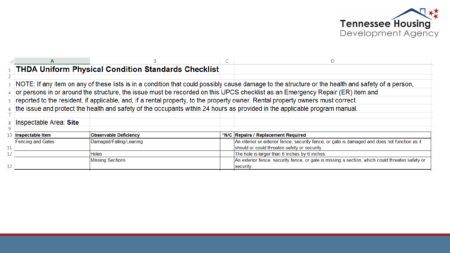

|                   |                                                                                                                                                     | 1 THDA Uniform Physical Condition Standards Checklist |  |                                                                                                 |  |  |
|-------------------|-----------------------------------------------------------------------------------------------------------------------------------------------------|-------------------------------------------------------|--|-------------------------------------------------------------------------------------------------|--|--|
| 2                 |                                                                                                                                                     |                                                       |  |                                                                                                 |  |  |
|                   | 3 NOTE: If any item on any of these lists is in a condition that could possibly cause damage to the structure or the health and safety of a person, |                                                       |  |                                                                                                 |  |  |
|                   | $4\,$ or persons in or around the structure, the issue must be recorded on this UPCS checklist as an Emergency Repair (ER) item and                 |                                                       |  |                                                                                                 |  |  |
|                   | 5 reported to the resident, if applicable, and, if a rental property, to the property owner. Rental property owners must correct                    |                                                       |  |                                                                                                 |  |  |
|                   | 6 the issue and protect the health and safety of the occupants within 24 hours as provided in the applicable program manual.                        |                                                       |  |                                                                                                 |  |  |
|                   |                                                                                                                                                     |                                                       |  |                                                                                                 |  |  |
| 8                 | Inspectable Area: Site                                                                                                                              |                                                       |  |                                                                                                 |  |  |
| 9                 |                                                                                                                                                     |                                                       |  |                                                                                                 |  |  |
| 10                | Inspectable Item                                                                                                                                    | <b>Observable Deficiency</b>                          |  | *N/C Repairs / Replacement Required                                                             |  |  |
|                   | <b>Fencing and Gates</b>                                                                                                                            | Damaged/Falling/Leaning                               |  | An interior or exterior fence, security fence, or gate is damaged and does not function as it   |  |  |
| 11                |                                                                                                                                                     |                                                       |  | should or could threaten safety or security.                                                    |  |  |
| $12 \overline{ }$ |                                                                                                                                                     | Holes                                                 |  | The hole is larger than 6 inches by 6 inches.                                                   |  |  |
|                   |                                                                                                                                                     | <b>Missing Sections</b>                               |  | An exterior fence, security fence, or gate is missing a section, which could threaten safety or |  |  |
| 13                |                                                                                                                                                     |                                                       |  | security.                                                                                       |  |  |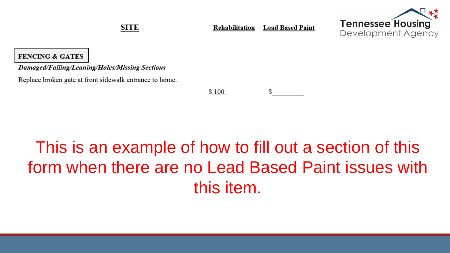**SITE** 

**Lead Based Paint** Rehabilitation



#### **FENCING & GATES**

Damaged/Falling/Leaning/Holes/Missing Sections

Replace broken gate at front sidewalk entrance to home.

 $$100$ S.

# This is an example of how to fill out a section of this form when there are no Lead Based Paint issues with this item.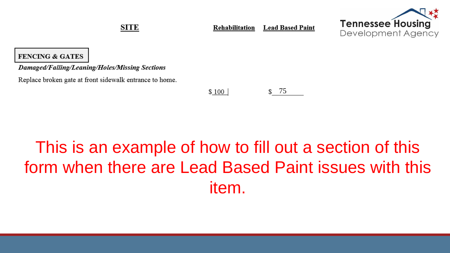**SITE** 

**Lead Based Paint** Rehabilitation



#### **FENCING & GATES**

Damaged/Falling/Leaning/Holes/Missing Sections

Replace broken gate at front sidewalk entrance to home.

\$ 75  $$100$ 

# This is an example of how to fill out a section of this form when there are Lead Based Paint issues with this item.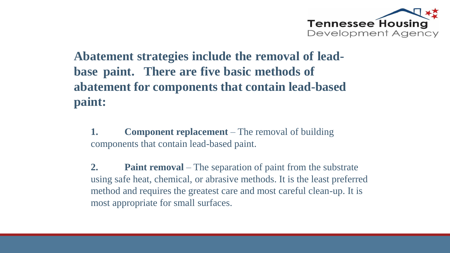

### **Abatement strategies include the removal of leadbase paint. There are five basic methods of abatement for components that contain lead-based paint:**

**1. Component replacement** – The removal of building components that contain lead-based paint.

**2. Paint removal** – The separation of paint from the substrate using safe heat, chemical, or abrasive methods. It is the least preferred method and requires the greatest care and most careful clean-up. It is most appropriate for small surfaces.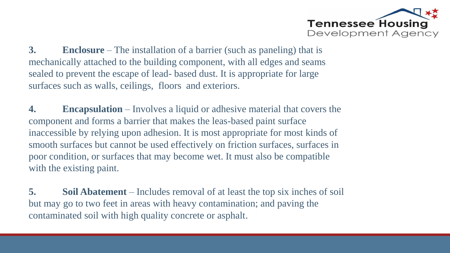

**3. Enclosure** – The installation of a barrier (such as paneling) that is mechanically attached to the building component, with all edges and seams sealed to prevent the escape of lead- based dust. It is appropriate for large surfaces such as walls, ceilings, floors and exteriors.

**4. Encapsulation** – Involves a liquid or adhesive material that covers the component and forms a barrier that makes the leas-based paint surface inaccessible by relying upon adhesion. It is most appropriate for most kinds of smooth surfaces but cannot be used effectively on friction surfaces, surfaces in poor condition, or surfaces that may become wet. It must also be compatible with the existing paint.

**5. Soil Abatement** – Includes removal of at least the top six inches of soil but may go to two feet in areas with heavy contamination; and paving the contaminated soil with high quality concrete or asphalt.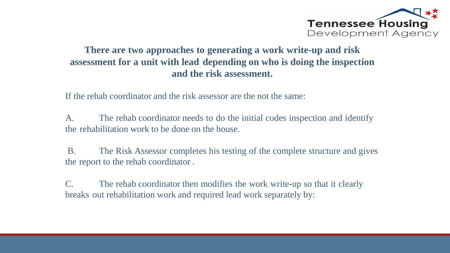

### **There are two approaches to generating a work write-up and risk assessment for a unit with lead depending on who is doing the inspection and the risk assessment.**

If the rehab coordinator and the risk assessor are the not the same:

A. The rehab coordinator needs to do the initial codes inspection and identify the rehabilitation work to be done on the house.

B. The Risk Assessor completes his testing of the complete structure and gives the report to the rehab coordinator .

C. The rehab coordinator then modifies the work write-up so that it clearly breaks out rehabilitation work and required lead work separately by: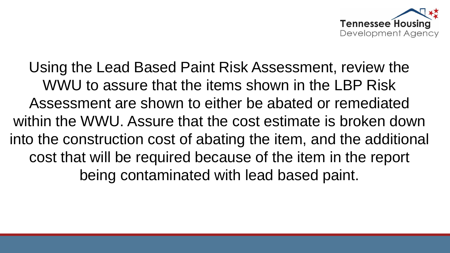

Using the Lead Based Paint Risk Assessment, review the WWU to assure that the items shown in the LBP Risk Assessment are shown to either be abated or remediated within the WWU. Assure that the cost estimate is broken down into the construction cost of abating the item, and the additional cost that will be required because of the item in the report being contaminated with lead based paint.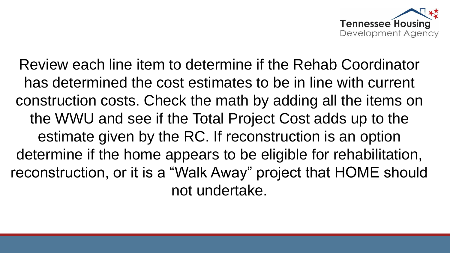

Review each line item to determine if the Rehab Coordinator has determined the cost estimates to be in line with current construction costs. Check the math by adding all the items on the WWU and see if the Total Project Cost adds up to the estimate given by the RC. If reconstruction is an option determine if the home appears to be eligible for rehabilitation, reconstruction, or it is a "Walk Away" project that HOME should not undertake.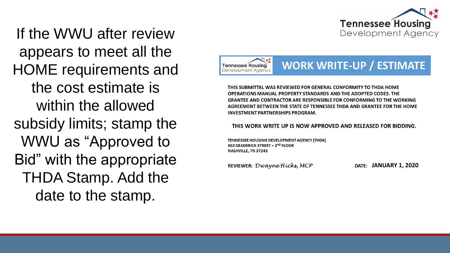

If the WWU after review appears to meet all the HOME requirements and the cost estimate is within the allowed subsidy limits; stamp the WWU as "Approved to Bid" with the appropriate THDA Stamp. Add the date to the stamp.



THIS SUBMITTAL WAS REVIEWED FOR GENERAL CONFORMITY TO THDA HOME OPERATIONS MANUAL PROPERTY STANDARDS AND THE ADOPTED CODES. THE **GRANTEE AND CONTRACTOR ARE RESPONSIBLE FOR CONFORMING TO THE WORKING** AGREEMENT BETWEEN THE STATE OF TENNESSEE THDA AND GRANTEE FOR THE HOME **INVESTMENT PARTNERSHIPS PROGRAM.** 

THIS WORK WRITE UP IS NOW APPROVED AND RELEASED FOR BIDDING.

TENNESSEE HOUSING DEVELOPMENT AGENCY (THDA) 502 DEADERICK STREET - 2ND FLOOR NASHVILLE, TN 37243

REVIEWER: Dwayne Hicks, MCP

**JANUARY 1, 2020**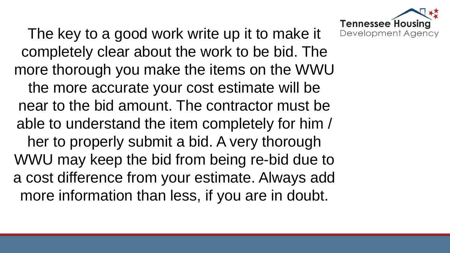

The key to a good work write up it to make it completely clear about the work to be bid. The more thorough you make the items on the WWU the more accurate your cost estimate will be near to the bid amount. The contractor must be able to understand the item completely for him / her to properly submit a bid. A very thorough WWU may keep the bid from being re-bid due to a cost difference from your estimate. Always add more information than less, if you are in doubt.